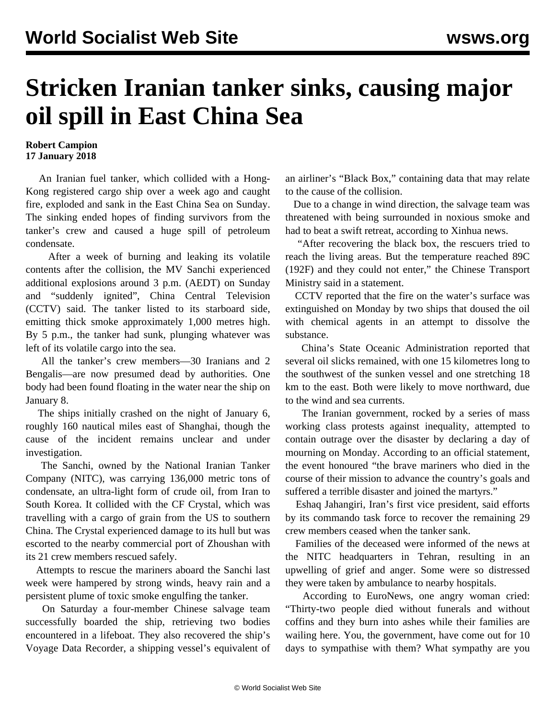## **Stricken Iranian tanker sinks, causing major oil spill in East China Sea**

## **Robert Campion 17 January 2018**

 An Iranian fuel tanker, which collided with a Hong-Kong registered cargo ship over a week ago and caught fire, exploded and sank in the East China Sea on Sunday. The sinking ended hopes of finding survivors from the tanker's crew and caused a huge spill of petroleum condensate.

 After a week of burning and leaking its volatile contents after the [collision,](/en/articles/2018/01/10/tank-j10.html) the MV Sanchi experienced additional explosions around 3 p.m. (AEDT) on Sunday and "suddenly ignited", China Central Television (CCTV) said. The tanker listed to its starboard side, emitting thick smoke approximately 1,000 metres high. By 5 p.m., the tanker had [sunk,](https://www.youtube.com/watch?v=df_Rpb3L9Z8) plunging whatever was left of its volatile cargo into the sea.

 All the tanker's crew members—30 Iranians and 2 Bengalis—are now presumed dead by authorities. One body had been found floating in the water near the ship on January 8.

 The ships initially crashed on the night of January 6, roughly 160 nautical miles east of Shanghai, though the cause of the incident remains unclear and under investigation.

 The Sanchi, owned by the National Iranian Tanker Company (NITC), was carrying 136,000 metric tons of condensate, an ultra-light form of crude oil, from Iran to South Korea. It collided with the CF Crystal, which was travelling with a cargo of grain from the US to southern China. The Crystal experienced damage to its hull but was escorted to the nearby commercial port of Zhoushan with its 21 crew members rescued safely.

 Attempts to rescue the mariners aboard the Sanchi last week were hampered by strong winds, heavy rain and a persistent plume of toxic smoke engulfing the tanker.

 On Saturday a four-member Chinese salvage team successfully boarded the ship, retrieving two bodies encountered in a lifeboat. They also recovered the ship's Voyage Data Recorder, a shipping vessel's equivalent of an airliner's "Black Box," containing data that may relate to the cause of the collision.

 Due to a change in wind direction, the salvage team was threatened with being surrounded in noxious smoke and had to beat a swift retreat, according to Xinhua news.

 "After recovering the black box, the rescuers tried to reach the living areas. But the temperature reached 89C (192F) and they could not enter," the Chinese Transport Ministry said in a statement.

 CCTV reported that the fire on the water's surface was extinguished on Monday by two ships that doused the oil with chemical agents in an attempt to dissolve the substance.

 China's State Oceanic Administration reported that several oil slicks remained, with one 15 kilometres long to the southwest of the sunken vessel and one stretching 18 km to the east. Both were likely to move northward, due to the wind and sea currents.

 The Iranian government, rocked by a series of mass working class [protests against inequality](/en/articles/2018/01/03/iran-j03.html), attempted to contain outrage over the disaster by declaring a day of mourning on Monday. According to an official statement, the event honoured "the brave mariners who died in the course of their mission to advance the country's goals and suffered a terrible disaster and joined the martyrs."

 Eshaq Jahangiri, Iran's first vice president, said efforts by its commando task force to recover the remaining 29 crew members ceased when the tanker sank.

 Families of the deceased were informed of the news at the NITC headquarters in Tehran, resulting in an upwelling of grief and anger. Some were so distressed they were taken by ambulance to nearby hospitals.

 According to EuroNews, one angry woman cried: "Thirty-two people died without funerals and without coffins and they burn into ashes while their families are wailing here. You, the government, have come out for 10 days to sympathise with them? What sympathy are you